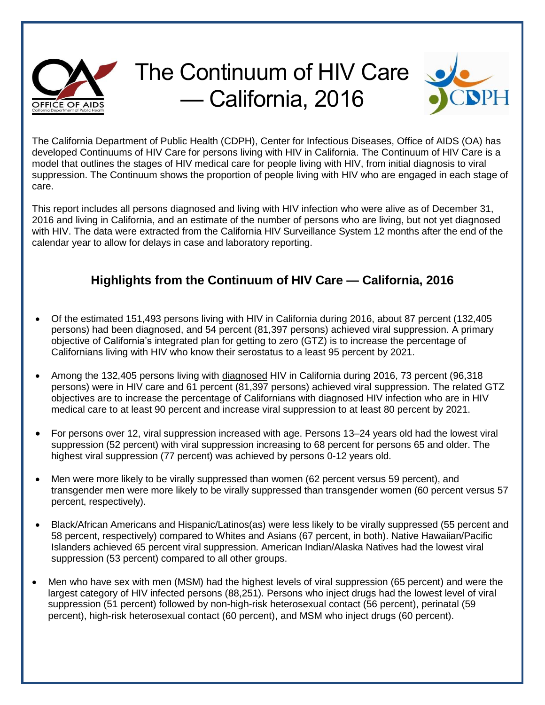

## The Continuum of HIV Care — California, 2016



The California Department of Public Health (CDPH), Center for Infectious Diseases, Office of AIDS (OA) has developed Continuums of HIV Care for persons living with HIV in California. The Continuum of HIV Care is a model that outlines the stages of HIV medical care for people living with HIV, from initial diagnosis to viral suppression. The Continuum shows the proportion of people living with HIV who are engaged in each stage of care.

This report includes all persons diagnosed and living with HIV infection who were alive as of December 31, 2016 and living in California, and an estimate of the number of persons who are living, but not yet diagnosed with HIV. The data were extracted from the California HIV Surveillance System 12 months after the end of the calendar year to allow for delays in case and laboratory reporting.

## **Highlights from the Continuum of HIV Care — California, 2016**

- Of the estimated 151,493 persons living with HIV in California during 2016, about 87 percent (132,405 persons) had been diagnosed, and 54 percent (81,397 persons) achieved viral suppression. A primary objective of California's integrated plan for getting to zero (GTZ) is to increase the percentage of Californians living with HIV who know their serostatus to a least 95 percent by 2021.
- Among the 132,405 persons living with diagnosed HIV in California during 2016, 73 percent (96,318 persons) were in HIV care and 61 percent (81,397 persons) achieved viral suppression. The related GTZ objectives are to increase the percentage of Californians with diagnosed HIV infection who are in HIV medical care to at least 90 percent and increase viral suppression to at least 80 percent by 2021.
- For persons over 12, viral suppression increased with age. Persons 13–24 years old had the lowest viral suppression (52 percent) with viral suppression increasing to 68 percent for persons 65 and older. The highest viral suppression (77 percent) was achieved by persons 0-12 years old.
- Men were more likely to be virally suppressed than women (62 percent versus 59 percent), and transgender men were more likely to be virally suppressed than transgender women (60 percent versus 57 percent, respectively).
- Black/African Americans and Hispanic/Latinos(as) were less likely to be virally suppressed (55 percent and 58 percent, respectively) compared to Whites and Asians (67 percent, in both). Native Hawaiian/Pacific Islanders achieved 65 percent viral suppression. American Indian/Alaska Natives had the lowest viral suppression (53 percent) compared to all other groups.
- Men who have sex with men (MSM) had the highest levels of viral suppression (65 percent) and were the largest category of HIV infected persons (88,251). Persons who inject drugs had the lowest level of viral suppression (51 percent) followed by non-high-risk heterosexual contact (56 percent), perinatal (59 percent), high-risk heterosexual contact (60 percent), and MSM who inject drugs (60 percent).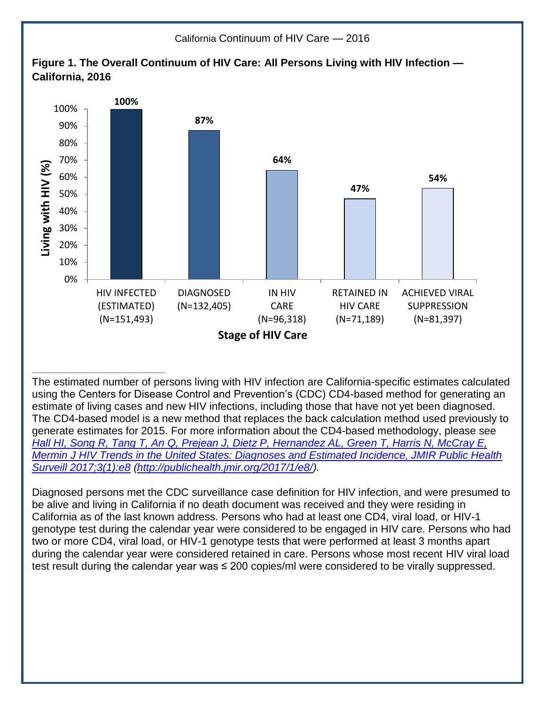

The estimated number of persons living with HIV infection are California-specific estimates calculated using the Centers for Disease Control and Prevention's (CDC) CD4-based method for generating an estimate of living cases and new HIV infections, including those that have not yet been diagnosed. The CD4-based model is a new method that replaces the back calculation method used previously to generate estimates for 2015. For more information about the CD4-based methodology, please see *[Hall HI, Song R, Tang T, An Q, Prejean J, Dietz P, Hernandez AL, Green T, Harris N, McCray E,](http://publichealth.jmir.org/2017/1/e8/)  [Mermin J HIV Trends in the United States: Diagnoses and Estimated Incidence, JMIR Public Health](http://publichealth.jmir.org/2017/1/e8/)  [Surveill 2017;3\(1\):e8](http://publichealth.jmir.org/2017/1/e8/) [\(http://publichealth.jmir.org/2017/1/e8/\)](http://publichealth.jmir.org/2017/1/e8/).*

Diagnosed persons met the CDC surveillance case definition for HIV infection, and were presumed to be alive and living in California if no death document was received and they were residing in California as of the last known address. Persons who had at least one CD4, viral load, or HIV-1 genotype test during the calendar year were considered to be engaged in HIV care. Persons who had two or more CD4, viral load, or HIV-1 genotype tests that were performed at least 3 months apart during the calendar year were considered retained in care. Persons whose most recent HIV viral load test result during the calendar year was ≤ 200 copies/ml were considered to be virally suppressed.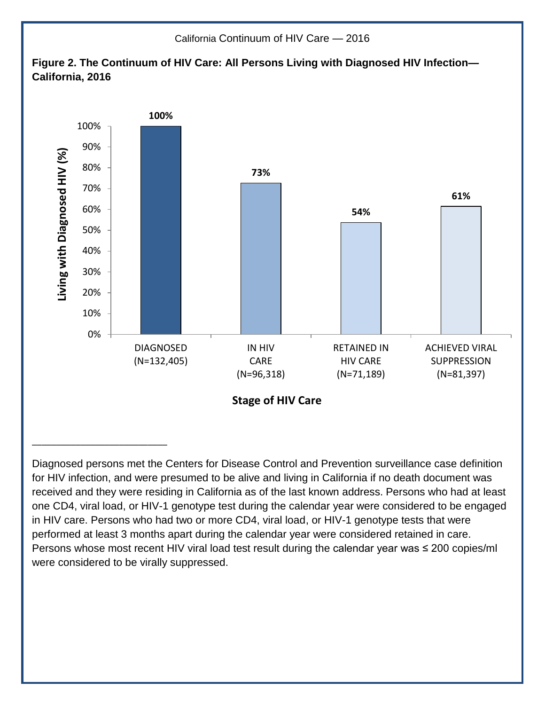

Diagnosed persons met the Centers for Disease Control and Prevention surveillance case definition for HIV infection, and were presumed to be alive and living in California if no death document was received and they were residing in California as of the last known address. Persons who had at least one CD4, viral load, or HIV-1 genotype test during the calendar year were considered to be engaged in HIV care. Persons who had two or more CD4, viral load, or HIV-1 genotype tests that were performed at least 3 months apart during the calendar year were considered retained in care. Persons whose most recent HIV viral load test result during the calendar year was ≤ 200 copies/ml were considered to be virally suppressed.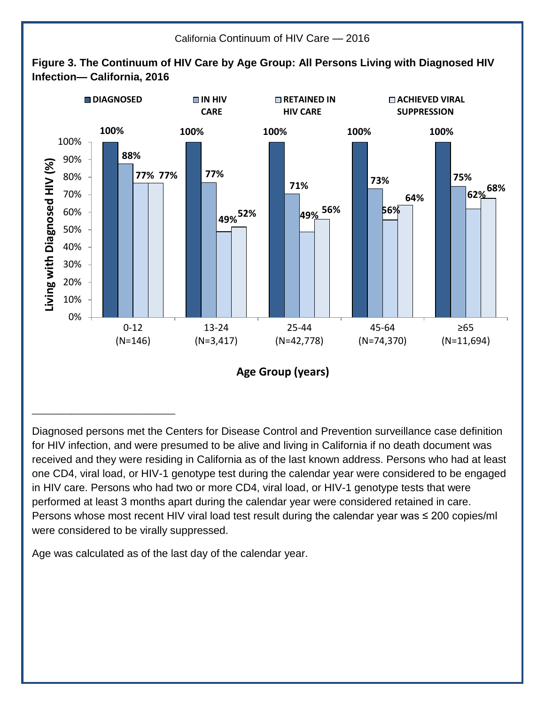

Diagnosed persons met the Centers for Disease Control and Prevention surveillance case definition for HIV infection, and were presumed to be alive and living in California if no death document was received and they were residing in California as of the last known address. Persons who had at least one CD4, viral load, or HIV-1 genotype test during the calendar year were considered to be engaged in HIV care. Persons who had two or more CD4, viral load, or HIV-1 genotype tests that were performed at least 3 months apart during the calendar year were considered retained in care. Persons whose most recent HIV viral load test result during the calendar year was ≤ 200 copies/ml were considered to be virally suppressed.

Age was calculated as of the last day of the calendar year.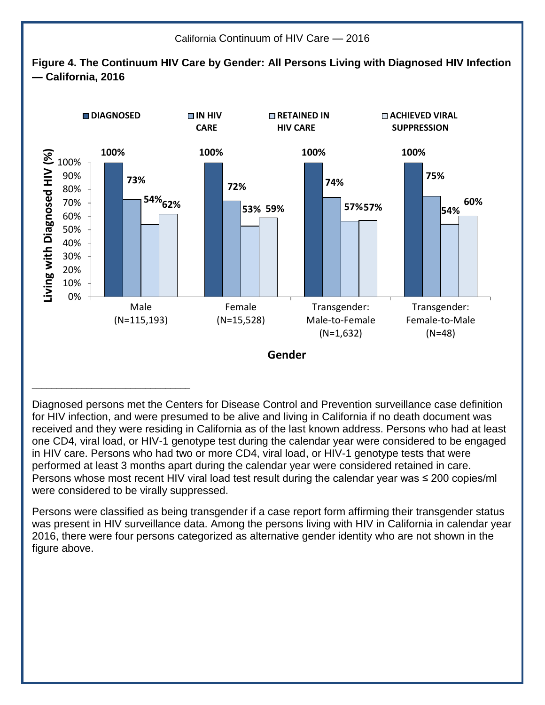

Diagnosed persons met the Centers for Disease Control and Prevention surveillance case definition for HIV infection, and were presumed to be alive and living in California if no death document was received and they were residing in California as of the last known address. Persons who had at least one CD4, viral load, or HIV-1 genotype test during the calendar year were considered to be engaged in HIV care. Persons who had two or more CD4, viral load, or HIV-1 genotype tests that were performed at least 3 months apart during the calendar year were considered retained in care. Persons whose most recent HIV viral load test result during the calendar year was  $\leq$  200 copies/ml were considered to be virally suppressed.

Persons were classified as being transgender if a case report form affirming their transgender status was present in HIV surveillance data. Among the persons living with HIV in California in calendar year 2016, there were four persons categorized as alternative gender identity who are not shown in the figure above.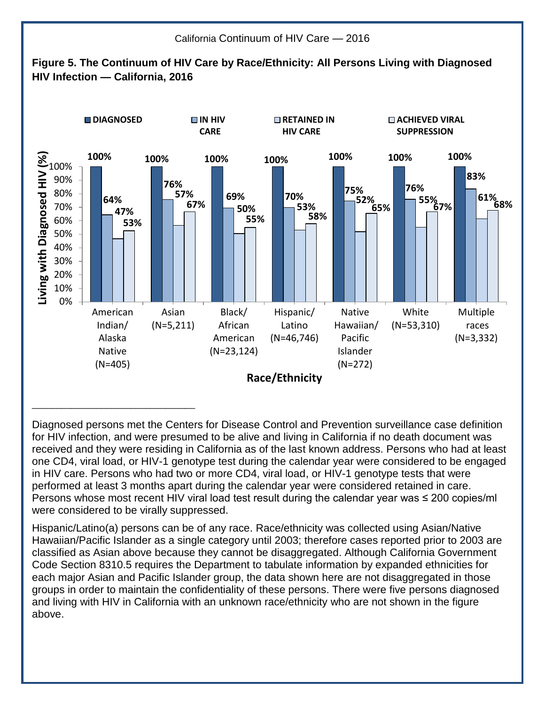

Diagnosed persons met the Centers for Disease Control and Prevention surveillance case definition for HIV infection, and were presumed to be alive and living in California if no death document was received and they were residing in California as of the last known address. Persons who had at least one CD4, viral load, or HIV-1 genotype test during the calendar year were considered to be engaged in HIV care. Persons who had two or more CD4, viral load, or HIV-1 genotype tests that were performed at least 3 months apart during the calendar year were considered retained in care. Persons whose most recent HIV viral load test result during the calendar year was  $\leq$  200 copies/ml were considered to be virally suppressed.

Hispanic/Latino(a) persons can be of any race. Race/ethnicity was collected using Asian/Native Hawaiian/Pacific Islander as a single category until 2003; therefore cases reported prior to 2003 are classified as Asian above because they cannot be disaggregated. Although California Government Code Section 8310.5 requires the Department to tabulate information by expanded ethnicities for each major Asian and Pacific Islander group, the data shown here are not disaggregated in those groups in order to maintain the confidentiality of these persons. There were five persons diagnosed and living with HIV in California with an unknown race/ethnicity who are not shown in the figure above.